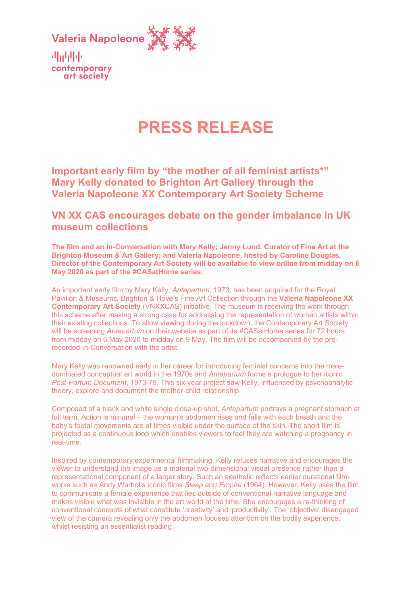

机动电压 contemporary art society

# **PRESS RELEASE**

**Important early film by "the mother of all feminist artists\*" Mary Kelly donated to Brighton Art Gallery through the Valeria Napoleone XX Contemporary Art Society Scheme**

# **VN XX CAS encourages debate on the gender imbalance in UK museum collections**

**The film and an In-Conversation with Mary Kelly; Jenny Lund, Curator of Fine Art at the Brighton Museum & Art Gallery; and Valeria Napoleone, hosted by Caroline Douglas, Director of the Contemporary Art Society will be available to view online from midday on 6 May 2020 as part of the #CASatHome series.**

An important early film by Mary Kelly, *Antepartum*, 1973, has been acquired for the Royal Pavilion & Museums, Brighton & Hove's Fine Art Collection through the **Valeria Napoleone XX Contemporary Art Society** (VNXXCAS) initiative. The museum is receiving the work through this scheme after making a strong case for addressing the representation of women artists within their existing collections. To allow viewing during the lockdown, the Contemporary Art Society will be screening *Antepartum* on their website as part of its #CASatHome series for 72 hours from midday on 6 May 2020 to midday on 9 May. The film will be accompanied by the prerecorded In-Conversation with the artist.

Mary Kelly was renowned early in her career for introducing feminist concerns into the maledominated conceptual art world in the 1970s and *Antepartum* forms a prologue to her iconic *Post-Partum Document*, 1973-79. This six-year project saw Kelly, influenced by psychoanalytic theory, explore and document the mother-child relationship.

Composed of a black and white single close-up shot, *Antepartum* portrays a pregnant stomach at full term. Action is minimal – the woman's abdomen rises and falls with each breath and the baby's foetal movements are at times visible under the surface of the skin. The short film is projected as a continuous loop which enables viewers to feel they are watching a pregnancy in real-time.

Inspired by contemporary experimental filmmaking, Kelly refuses narrative and encourages the viewer to understand the image as a material two-dimensional visual presence rather than a representational component of a larger story. Such an aesthetic reflects earlier durational filmworks such as Andy Warhol's iconic films *Sleep* and *Empire* (1964). However, Kelly uses the film to communicate a female experience that lies outside of conventional narrative language and makes visible what was invisible in the art world at the time. She encourages a re-thinking of conventional concepts of what constitute 'creativity' and 'productivity'. The 'objective' disengaged view of the camera revealing only the abdomen focuses attention on the bodily experience, whilst resisting an essentialist reading.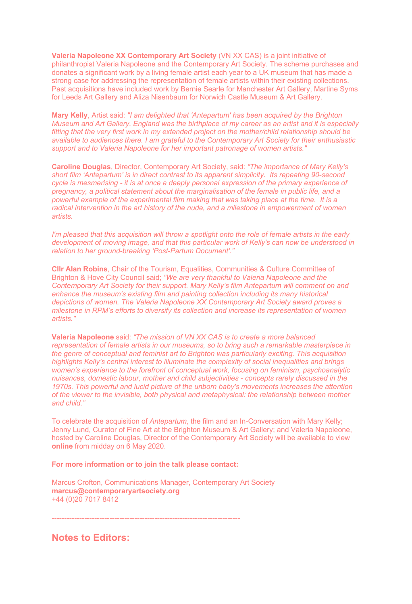**Valeria Napoleone XX Contemporary Art Society** (VN XX CAS) is a joint initiative of philanthropist Valeria Napoleone and the Contemporary Art Society. The scheme purchases and donates a significant work by a living female artist each year to a UK museum that has made a strong case for addressing the representation of female artists within their existing collections. Past acquisitions have included work by Bernie Searle for Manchester Art Gallery, Martine Syms for Leeds Art Gallery and Aliza Nisenbaum for Norwich Castle Museum & Art Gallery.

**Mary Kelly**, Artist said: *"I am delighted that 'Antepartum' has been acquired by the Brighton Museum and Art Gallery. England was the birthplace of my career as an artist and it is especially fitting that the very first work in my extended project on the mother/child relationship should be available to audiences there. I am grateful to the Contemporary Art Society for their enthusiastic support and to Valeria Napoleone for her important patronage of women artists."*

**Caroline Douglas**, Director, Contemporary Art Society, said: *"The importance of Mary Kelly's short film 'Antepartum' is in direct contrast to its apparent simplicity. Its repeating 90-second cycle is mesmerising - it is at once a deeply personal expression of the primary experience of pregnancy, a political statement about the marginalisation of the female in public life, and a powerful example of the experimental film making that was taking place at the time. It is a radical intervention in the art history of the nude, and a milestone in empowerment of women artists.*

*I'm pleased that this acquisition will throw a spotlight onto the role of female artists in the early development of moving image, and that this particular work of Kelly's can now be understood in relation to her ground-breaking 'Post-Partum Document'."*

**Cllr Alan Robins**, Chair of the Tourism, Equalities, Communities & Culture Committee of Brighton & Hove City Council said; *"We are very thankful to Valeria Napoleone and the Contemporary Art Society for their support. Mary Kelly's film Antepartum will comment on and enhance the museum's existing film and painting collection including its many historical depictions of women. The Valeria Napoleone XX Contemporary Art Society award proves a milestone in RPM's efforts to diversify its collection and increase its representation of women artists."*

**Valeria Napoleone** said: *"The mission of VN XX CAS is to create a more balanced representation of female artists in our museums, so to bring such a remarkable masterpiece in the genre of conceptual and feminist art to Brighton was particularly exciting. This acquisition highlights Kelly's central interest to illuminate the complexity of social inequalities and brings women's experience to the forefront of conceptual work, focusing on feminism, psychoanalytic nuisances, domestic labour, mother and child subjectivities - concepts rarely discussed in the 1970s. This powerful and lucid picture of the unborn baby's movements increases the attention of the viewer to the invisible, both physical and metaphysical: the relationship between mother and child."*

To celebrate the acquisition of *Antepartum*, the film and an In-Conversation with Mary Kelly; Jenny Lund, Curator of Fine Art at the Brighton Museum & Art Gallery; and Valeria Napoleone, hosted by Caroline Douglas, Director of the Contemporary Art Society will be available to view **online** from midday on 6 May 2020.

**For more information or to join the talk please contact:**

Marcus Crofton, Communications Manager, Contemporary Art Society **marcus@contemporaryartsociety.org** +44 (0)20 7017 8412

---------------------------------------------------------------------------

**Notes to Editors:**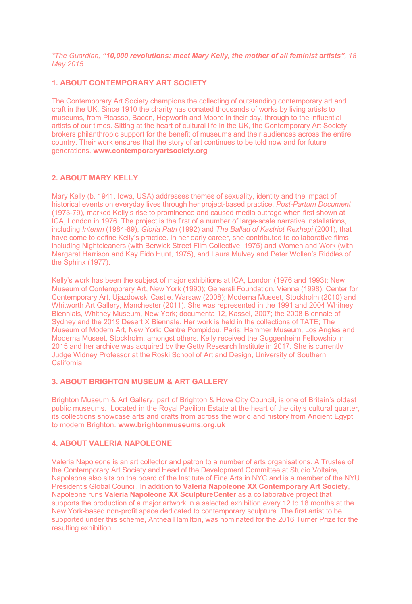*\*The Guardian, "10,000 revolutions: meet Mary Kelly, the mother of all feminist artists", 18 May 2015.* 

## **1. ABOUT CONTEMPORARY ART SOCIETY**

The Contemporary Art Society champions the collecting of outstanding contemporary art and craft in the UK. Since 1910 the charity has donated thousands of works by living artists to museums, from Picasso, Bacon, Hepworth and Moore in their day, through to the influential artists of our times. Sitting at the heart of cultural life in the UK, the Contemporary Art Society brokers philanthropic support for the benefit of museums and their audiences across the entire country. Their work ensures that the story of art continues to be told now and for future generations. **www.contemporaryartsociety.org**

## **2. ABOUT MARY KELLY**

Mary Kelly (b. 1941, Iowa, USA) addresses themes of sexuality, identity and the impact of historical events on everyday lives through her project-based practice. *Post-Partum Document* (1973-79), marked Kelly's rise to prominence and caused media outrage when first shown at ICA, London in 1976. The project is the first of a number of large-scale narrative installations, including *Interim* (1984-89), *Gloria Patri* (1992) and *The Ballad of Kastriot Rexhepi* (2001), that have come to define Kelly's practice. In her early career, she contributed to collaborative films including Nightcleaners (with Berwick Street Film Collective, 1975) and Women and Work (with Margaret Harrison and Kay Fido Hunt, 1975), and Laura Mulvey and Peter Wollen's Riddles of the Sphinx (1977).

Kelly's work has been the subject of major exhibitions at ICA, London (1976 and 1993); New Museum of Contemporary Art, New York (1990); Generali Foundation, Vienna (1998); Center for Contemporary Art, Ujazdowski Castle, Warsaw (2008); Moderna Museet, Stockholm (2010) and Whitworth Art Gallery, Manchester (2011). She was represented in the 1991 and 2004 Whitney Biennials, Whitney Museum, New York; documenta 12, Kassel, 2007; the 2008 Biennale of Sydney and the 2019 Desert X Biennale. Her work is held in the collections of TATE; The Museum of Modern Art, New York; Centre Pompidou, Paris; Hammer Museum, Los Angles and Moderna Museet, Stockholm, amongst others. Kelly received the Guggenheim Fellowship in 2015 and her archive was acquired by the Getty Research Institute in 2017. She is currently Judge Widney Professor at the Roski School of Art and Design, University of Southern California.

#### **3. ABOUT BRIGHTON MUSEUM & ART GALLERY**

Brighton Museum & Art Gallery, part of Brighton & Hove City Council, is one of Britain's oldest public museums. Located in the Royal Pavilion Estate at the heart of the city's cultural quarter, its collections showcase arts and crafts from across the world and history from Ancient Egypt to modern Brighton. **www.brightonmuseums.org.uk**

#### **4. ABOUT VALERIA NAPOLEONE**

Valeria Napoleone is an art collector and patron to a number of arts organisations. A Trustee of the Contemporary Art Society and Head of the Development Committee at Studio Voltaire, Napoleone also sits on the board of the Institute of Fine Arts in NYC and is a member of the NYU President's Global Council. In addition to **Valeria Napoleone XX Contemporary Art Society**, Napoleone runs **Valeria Napoleone XX SculptureCenter** as a collaborative project that supports the production of a major artwork in a selected exhibition every 12 to 18 months at the New York-based non-profit space dedicated to contemporary sculpture. The first artist to be supported under this scheme, Anthea Hamilton, was nominated for the 2016 Turner Prize for the resulting exhibition.